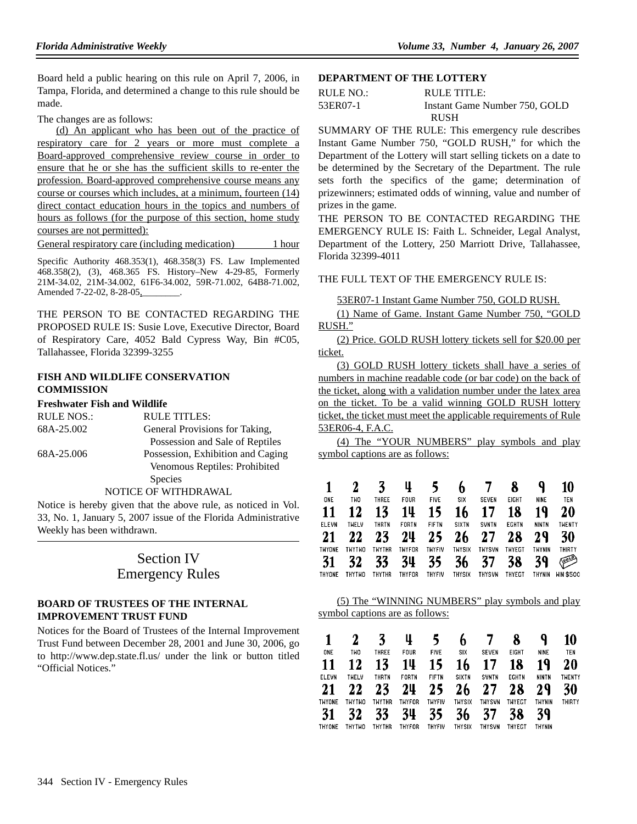Board held a public hearing on this rule on April 7, 2006, in Tampa, Florida, and determined a change to this rule should be made.

The changes are as follows:

(d) An applicant who has been out of the practice of respiratory care for 2 years or more must complete a Board-approved comprehensive review course in order to ensure that he or she has the sufficient skills to re-enter the profession. Board-approved comprehensive course means any course or courses which includes, at a minimum, fourteen (14) direct contact education hours in the topics and numbers of hours as follows (for the purpose of this section, home study courses are not permitted):

General respiratory care (including medication) 1 hour

Specific Authority 468.353(1), 468.358(3) FS. Law Implemented 468.358(2), (3), 468.365 FS. History–New 4-29-85, Formerly 21M-34.02, 21M-34.002, 61F6-34.002, 59R-71.002, 64B8-71.002, Amended 7-22-02, 8-28-05,

THE PERSON TO BE CONTACTED REGARDING THE PROPOSED RULE IS: Susie Love, Executive Director, Board of Respiratory Care, 4052 Bald Cypress Way, Bin #C05, Tallahassee, Florida 32399-3255

# **FISH AND WILDLIFE CONSERVATION COMMISSION**

#### **Freshwater Fish and Wildlife**

| <b>RULE NOS.:</b> | <b>RULE TITLES:</b>               |
|-------------------|-----------------------------------|
| 68A-25.002        | General Provisions for Taking,    |
|                   | Possession and Sale of Reptiles   |
| 68A-25.006        | Possession, Exhibition and Caging |
|                   | Venomous Reptiles: Prohibited     |
|                   | <b>Species</b>                    |

#### NOTICE OF WITHDRAWAL

Notice is hereby given that the above rule, as noticed in Vol. 33, No. 1, January 5, 2007 issue of the Florida Administrative Weekly has been withdrawn.

# Section IV Emergency Rules

# **BOARD OF TRUSTEES OF THE INTERNAL IMPROVEMENT TRUST FUND**

Notices for the Board of Trustees of the Internal Improvement Trust Fund between December 28, 2001 and June 30, 2006, go to http://www.dep.state.fl.us/ under the link or button titled "Official Notices."

### **DEPARTMENT OF THE LOTTERY**

| RULE NO.: | RULE TITLE:                   |
|-----------|-------------------------------|
| 53ER07-1  | Instant Game Number 750, GOLD |
|           | <b>RUSH</b>                   |

SUMMARY OF THE RULE: This emergency rule describes Instant Game Number 750, "GOLD RUSH," for which the Department of the Lottery will start selling tickets on a date to be determined by the Secretary of the Department. The rule sets forth the specifics of the game; determination of prizewinners; estimated odds of winning, value and number of prizes in the game.

THE PERSON TO BE CONTACTED REGARDING THE EMERGENCY RULE IS: Faith L. Schneider, Legal Analyst, Department of the Lottery, 250 Marriott Drive, Tallahassee, Florida 32399-4011

# THE FULL TEXT OF THE EMERGENCY RULE IS:

53ER07-1 Instant Game Number 750, GOLD RUSH.

(1) Name of Game. Instant Game Number 750, "GOLD RUSH."

(2) Price. GOLD RUSH lottery tickets sell for \$20.00 per ticket.

(3) GOLD RUSH lottery tickets shall have a series of numbers in machine readable code (or bar code) on the back of the ticket, along with a validation number under the latex area on the ticket. To be a valid winning GOLD RUSH lottery ticket, the ticket must meet the applicable requirements of Rule 53ER06-4, F.A.C.

(4) The "YOUR NUMBERS" play symbols and play symbol captions are as follows:

|              |                 |               | Ц             |               | 6            |               | 8            |              | 10               |
|--------------|-----------------|---------------|---------------|---------------|--------------|---------------|--------------|--------------|------------------|
| ONE          | TW <sub>0</sub> | THREE         | <b>FOUR</b>   | <b>FIVE</b>   | SIX          | <b>SEVEN</b>  | <b>EIGHT</b> | <b>NINE</b>  | <b>TEN</b>       |
| 11           | 12              | 13            | 14            | 15            | 16           | 17            | 18           | 19           | 20               |
| <b>ELEVN</b> | THELV           | <b>THRTN</b>  | FORTN         | <b>FIFTN</b>  | <b>SIXTN</b> | <b>SVNTN</b>  | <b>EGHTN</b> | <b>NINTN</b> | THENTY           |
| -21          | 22              | 23            | 24            | 25            | 26           | 27            | 28           | 29           | 30               |
| THYONE       | THYTHO          | TWYTHR        | <b>TWYFOR</b> | <b>THYFIV</b> | THYSIX       | THYSVN        | TWYEGT       | THYNIN       | THIRTY           |
| 31           | 32              | 33            | 34            | 35            | 36           | 37            | 38           | 39           | ☜                |
| THYONE       | THYTWO          | <b>THYTHR</b> | THYFOR        | THYFIV        | THYSIX       | <b>THYSVN</b> | THYEGT       | THYNIN       | <b>WIN \$500</b> |

(5) The "WINNING NUMBERS" play symbols and play symbol captions are as follows:

|              |                 |               |             |               | 6            |               | 8            |              | 10            |
|--------------|-----------------|---------------|-------------|---------------|--------------|---------------|--------------|--------------|---------------|
| <b>ONE</b>   | TW <sub>0</sub> | THREE         | <b>FOUR</b> | <b>FIVE</b>   | SIX          | <b>SEVEN</b>  | EIGHT        | <b>NINE</b>  | <b>TEN</b>    |
| 11           | 12              | 13            | 14          | 15            | 16           | 17            | 18           | 19           | 20            |
| <b>ELEVN</b> | THELV           | <b>THRTN</b>  | FORTN       | <b>FIFTN</b>  | <b>SIXTN</b> | <b>SVNTN</b>  | <b>EGHTN</b> | <b>NINTN</b> | <b>THENTY</b> |
| -21          | 22              | 23            | 24          | 25            | 26           | 27            | 28           | 29           | 30            |
| TWYONE       | <b>THYTHO</b>   | <b>TWYTHR</b> | THYFOR      | <b>THYFIV</b> | THYSIX       | <b>THYSVN</b> | THYEGT       | THYNIN       | <b>THIRTY</b> |
| -31          | 32              | 33            | 34          | 35            | 36           | 37            | 38           | 39           |               |
| THYONE       | <b>THYTWO</b>   | <b>THYTHR</b> | THYFOR      | <b>THYFIV</b> | THYSIX       | <b>THYSVN</b> | THYEGT       | THYNIN       |               |